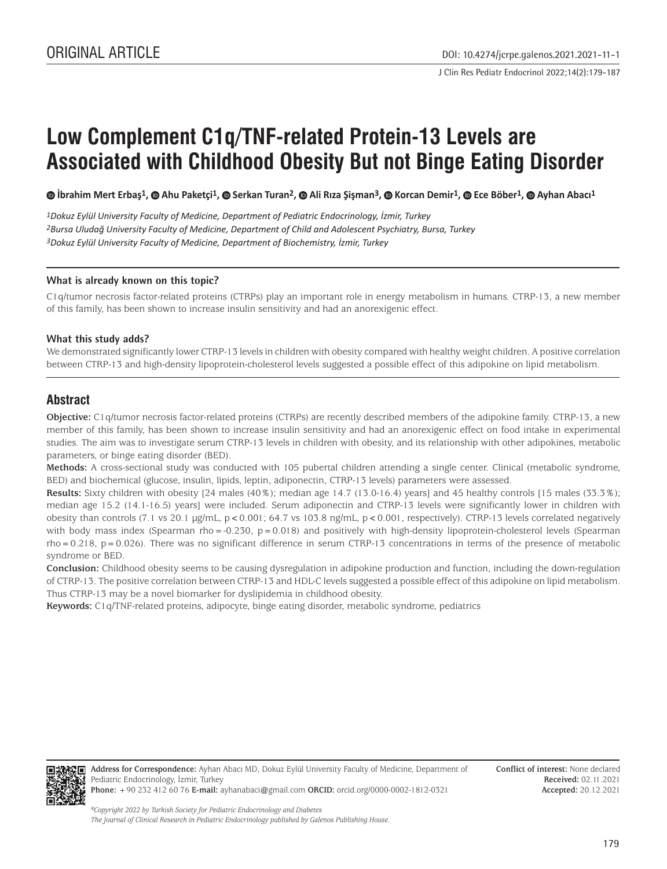J Clin Res Pediatr Endocrinol 2022;14(2):179-187

# **Low Complement C1q/TNF-related Protein-13 Levels are Associated with Childhood Obesity But not Binge Eating Disorder**

**İbrahim Mert Erbaş1, Ahu Paketçi1, Serkan Turan2,Ali Rıza Şişman3, Korcan Demir1,Ece Böber1,Ayhan Abacı1**

*1Dokuz Eylül University Faculty of Medicine, Department of Pediatric Endocrinology, İzmir, Turkey 2Bursa Uludağ University Faculty of Medicine, Department of Child and Adolescent Psychiatry, Bursa, Turkey 3Dokuz Eylül University Faculty of Medicine, Department of Biochemistry, İzmir, Turkey*

#### **What is already known on this topic?**

C1q/tumor necrosis factor-related proteins (CTRPs) play an important role in energy metabolism in humans. CTRP-13, a new member of this family, has been shown to increase insulin sensitivity and had an anorexigenic effect.

#### **What this study adds?**

We demonstrated significantly lower CTRP-13 levels in children with obesity compared with healthy weight children. A positive correlation between CTRP-13 and high-density lipoprotein-cholesterol levels suggested a possible effect of this adipokine on lipid metabolism.

# **Abstract**

**Objective:** C1q/tumor necrosis factor-related proteins (CTRPs) are recently described members of the adipokine family. CTRP-13, a new member of this family, has been shown to increase insulin sensitivity and had an anorexigenic effect on food intake in experimental studies. The aim was to investigate serum CTRP-13 levels in children with obesity, and its relationship with other adipokines, metabolic parameters, or binge eating disorder (BED).

**Methods:** A cross-sectional study was conducted with 105 pubertal children attending a single center. Clinical (metabolic syndrome, BED) and biochemical (glucose, insulin, lipids, leptin, adiponectin, CTRP-13 levels) parameters were assessed.

**Results:** Sixty children with obesity [24 males (40%); median age 14.7 (13.0-16.4) years] and 45 healthy controls [15 males (33.3%); median age 15.2 (14.1-16.5) years] were included. Serum adiponectin and CTRP-13 levels were significantly lower in children with obesity than controls (7.1 vs 20.1 µg/mL, p<0.001; 64.7 vs 103.8 ng/mL, p<0.001, respectively). CTRP-13 levels correlated negatively with body mass index (Spearman rho=-0.230, p=0.018) and positively with high-density lipoprotein-cholesterol levels (Spearman rho=0.218, p=0.026). There was no significant difference in serum CTRP-13 concentrations in terms of the presence of metabolic syndrome or BED.

**Conclusion:** Childhood obesity seems to be causing dysregulation in adipokine production and function, including the down-regulation of CTRP-13. The positive correlation between CTRP-13 and HDL-C levels suggested a possible effect of this adipokine on lipid metabolism. Thus CTRP-13 may be a novel biomarker for dyslipidemia in childhood obesity.

**Keywords:** C1q/TNF-related proteins, adipocyte, binge eating disorder, metabolic syndrome, pediatrics



**Address for Correspondence:** Ayhan Abacı MD, Dokuz Eylül University Faculty of Medicine, Department of Pediatric Endocrinology, İzmir, Turkey **Phone:** +90 232 412 60 76 **E-mail:** ayhanabaci@gmail.com **ORCID:** orcid.org/0000-0002-1812-0321

**Conflict of interest:** None declared **Received:** 02.11.2021 **Accepted:** 20.12.2021

*©Copyright 2022 by Turkish Society for Pediatric Endocrinology and Diabetes The Journal of Clinical Research in Pediatric Endocrinology published by Galenos Publishing House.*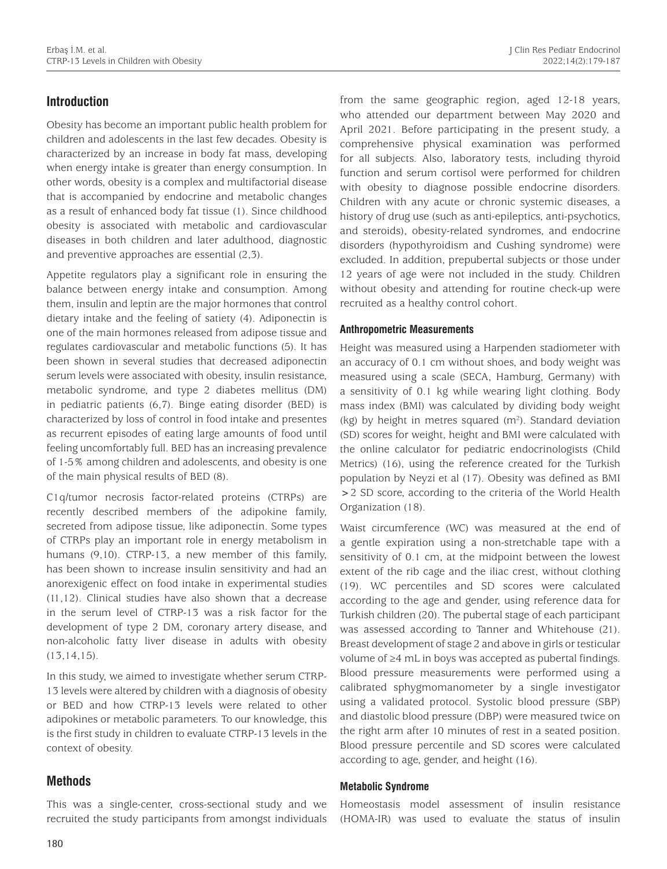# **Introduction**

Obesity has become an important public health problem for children and adolescents in the last few decades. Obesity is characterized by an increase in body fat mass, developing when energy intake is greater than energy consumption. In other words, obesity is a complex and multifactorial disease that is accompanied by endocrine and metabolic changes as a result of enhanced body fat tissue (1). Since childhood obesity is associated with metabolic and cardiovascular diseases in both children and later adulthood, diagnostic and preventive approaches are essential (2,3).

Appetite regulators play a significant role in ensuring the balance between energy intake and consumption. Among them, insulin and leptin are the major hormones that control dietary intake and the feeling of satiety (4). Adiponectin is one of the main hormones released from adipose tissue and regulates cardiovascular and metabolic functions (5). It has been shown in several studies that decreased adiponectin serum levels were associated with obesity, insulin resistance, metabolic syndrome, and type 2 diabetes mellitus (DM) in pediatric patients (6,7). Binge eating disorder (BED) is characterized by loss of control in food intake and presentes as recurrent episodes of eating large amounts of food until feeling uncomfortably full. BED has an increasing prevalence of 1-5% among children and adolescents, and obesity is one of the main physical results of BED (8).

C1q/tumor necrosis factor-related proteins (CTRPs) are recently described members of the adipokine family, secreted from adipose tissue, like adiponectin. Some types of CTRPs play an important role in energy metabolism in humans (9,10). CTRP-13, a new member of this family, has been shown to increase insulin sensitivity and had an anorexigenic effect on food intake in experimental studies (11,12). Clinical studies have also shown that a decrease in the serum level of CTRP-13 was a risk factor for the development of type 2 DM, coronary artery disease, and non-alcoholic fatty liver disease in adults with obesity  $(13,14,15)$ .

In this study, we aimed to investigate whether serum CTRP-13 levels were altered by children with a diagnosis of obesity or BED and how CTRP-13 levels were related to other adipokines or metabolic parameters. To our knowledge, this is the first study in children to evaluate CTRP-13 levels in the context of obesity.

# **Methods**

This was a single-center, cross-sectional study and we recruited the study participants from amongst individuals

from the same geographic region, aged 12-18 years, who attended our department between May 2020 and April 2021. Before participating in the present study, a comprehensive physical examination was performed for all subjects. Also, laboratory tests, including thyroid function and serum cortisol were performed for children with obesity to diagnose possible endocrine disorders. Children with any acute or chronic systemic diseases, a history of drug use (such as anti-epileptics, anti-psychotics, and steroids), obesity-related syndromes, and endocrine disorders (hypothyroidism and Cushing syndrome) were excluded. In addition, prepubertal subjects or those under 12 years of age were not included in the study. Children without obesity and attending for routine check-up were recruited as a healthy control cohort.

#### **Anthropometric Measurements**

Height was measured using a Harpenden stadiometer with an accuracy of 0.1 cm without shoes, and body weight was measured using a scale (SECA, Hamburg, Germany) with a sensitivity of 0.1 kg while wearing light clothing. Body mass index (BMI) was calculated by dividing body weight  $(kg)$  by height in metres squared  $(m<sup>2</sup>)$ . Standard deviation (SD) scores for weight, height and BMI were calculated with the online calculator for pediatric endocrinologists (Child Metrics) (16), using the reference created for the Turkish population by Neyzi et al (17). Obesity was defined as BMI >2 SD score, according to the criteria of the World Health Organization (18).

Waist circumference (WC) was measured at the end of a gentle expiration using a non-stretchable tape with a sensitivity of 0.1 cm, at the midpoint between the lowest extent of the rib cage and the iliac crest, without clothing (19). WC percentiles and SD scores were calculated according to the age and gender, using reference data for Turkish children (20). The pubertal stage of each participant was assessed according to Tanner and Whitehouse (21). Breast development of stage 2 and above in girls or testicular volume of ≥4 mL in boys was accepted as pubertal findings. Blood pressure measurements were performed using a calibrated sphygmomanometer by a single investigator using a validated protocol. Systolic blood pressure (SBP) and diastolic blood pressure (DBP) were measured twice on the right arm after 10 minutes of rest in a seated position. Blood pressure percentile and SD scores were calculated according to age, gender, and height (16).

#### **Metabolic Syndrome**

Homeostasis model assessment of insulin resistance (HOMA-IR) was used to evaluate the status of insulin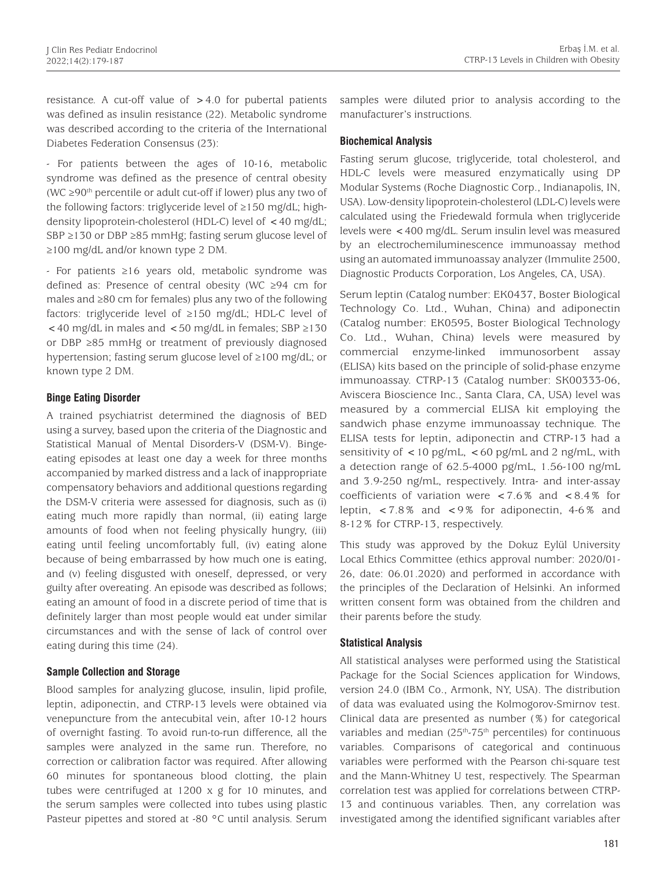resistance. A cut-off value of  $>4.0$  for pubertal patients was defined as insulin resistance (22). Metabolic syndrome was described according to the criteria of the International Diabetes Federation Consensus (23):

- For patients between the ages of 10-16, metabolic syndrome was defined as the presence of central obesity (WC ≥90th percentile or adult cut-off if lower) plus any two of the following factors: triglyceride level of ≥150 mg/dL; highdensity lipoprotein-cholesterol (HDL-C) level of <40 mg/dL; SBP ≥130 or DBP ≥85 mmHg; fasting serum glucose level of ≥100 mg/dL and/or known type 2 DM.

- For patients ≥16 years old, metabolic syndrome was defined as: Presence of central obesity (WC ≥94 cm for males and ≥80 cm for females) plus any two of the following factors: triglyceride level of ≥150 mg/dL; HDL-C level of <40 mg/dL in males and <50 mg/dL in females; SBP ≥130 or DBP ≥85 mmHg or treatment of previously diagnosed hypertension; fasting serum glucose level of ≥100 mg/dL; or known type 2 DM.

## **Binge Eating Disorder**

A trained psychiatrist determined the diagnosis of BED using a survey, based upon the criteria of the Diagnostic and Statistical Manual of Mental Disorders-V (DSM-V). Bingeeating episodes at least one day a week for three months accompanied by marked distress and a lack of inappropriate compensatory behaviors and additional questions regarding the DSM-V criteria were assessed for diagnosis, such as (i) eating much more rapidly than normal, (ii) eating large amounts of food when not feeling physically hungry, (iii) eating until feeling uncomfortably full, (iv) eating alone because of being embarrassed by how much one is eating, and (v) feeling disgusted with oneself, depressed, or very guilty after overeating. An episode was described as follows; eating an amount of food in a discrete period of time that is definitely larger than most people would eat under similar circumstances and with the sense of lack of control over eating during this time (24).

#### **Sample Collection and Storage**

Blood samples for analyzing glucose, insulin, lipid profile, leptin, adiponectin, and CTRP-13 levels were obtained via venepuncture from the antecubital vein, after 10-12 hours of overnight fasting. To avoid run-to-run difference, all the samples were analyzed in the same run. Therefore, no correction or calibration factor was required. After allowing 60 minutes for spontaneous blood clotting, the plain tubes were centrifuged at 1200 x g for 10 minutes, and the serum samples were collected into tubes using plastic Pasteur pipettes and stored at -80 °C until analysis. Serum

samples were diluted prior to analysis according to the manufacturer's instructions.

### **Biochemical Analysis**

Fasting serum glucose, triglyceride, total cholesterol, and HDL-C levels were measured enzymatically using DP Modular Systems (Roche Diagnostic Corp., Indianapolis, IN, USA). Low-density lipoprotein-cholesterol (LDL-C) levels were calculated using the Friedewald formula when triglyceride levels were <400 mg/dL. Serum insulin level was measured by an electrochemiluminescence immunoassay method using an automated immunoassay analyzer (Immulite 2500, Diagnostic Products Corporation, Los Angeles, CA, USA).

Serum leptin (Catalog number: EK0437, Boster Biological Technology Co. Ltd., Wuhan, China) and adiponectin (Catalog number: EK0595, Boster Biological Technology Co. Ltd., Wuhan, China) levels were measured by commercial enzyme-linked immunosorbent assay (ELISA) kits based on the principle of solid-phase enzyme immunoassay. CTRP-13 (Catalog number: SK00333-06, Aviscera Bioscience Inc., Santa Clara, CA, USA) level was measured by a commercial ELISA kit employing the sandwich phase enzyme immunoassay technique. The ELISA tests for leptin, adiponectin and CTRP-13 had a sensitivity of  $\langle$  10 pg/mL,  $\langle$  60 pg/mL and 2 ng/mL, with a detection range of 62.5-4000 pg/mL, 1.56-100 ng/mL and 3.9-250 ng/mL, respectively. Intra- and inter-assay coefficients of variation were  $<7.6\%$  and  $<8.4\%$  for leptin, <7.8% and <9% for adiponectin, 4-6% and 8-12% for CTRP-13, respectively.

This study was approved by the Dokuz Eylül University Local Ethics Committee (ethics approval number: 2020/01- 26, date: 06.01.2020) and performed in accordance with the principles of the Declaration of Helsinki. An informed written consent form was obtained from the children and their parents before the study.

## **Statistical Analysis**

All statistical analyses were performed using the Statistical Package for the Social Sciences application for Windows, version 24.0 (IBM Co., Armonk, NY, USA). The distribution of data was evaluated using the Kolmogorov-Smirnov test. Clinical data are presented as number (%) for categorical variables and median  $(25<sup>th</sup>-75<sup>th</sup>$  percentiles) for continuous variables. Comparisons of categorical and continuous variables were performed with the Pearson chi-square test and the Mann-Whitney U test, respectively. The Spearman correlation test was applied for correlations between CTRP-13 and continuous variables. Then, any correlation was investigated among the identified significant variables after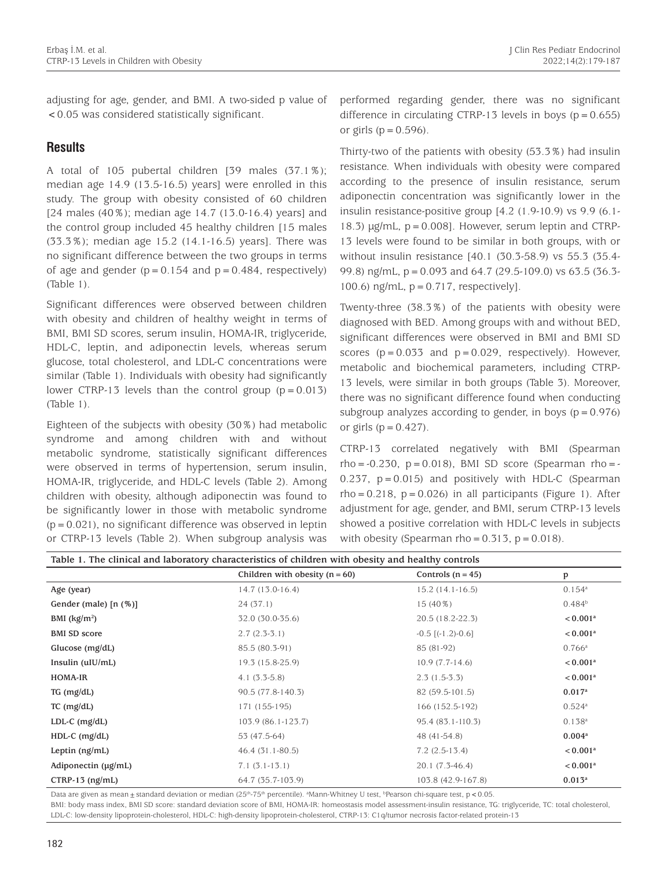adjusting for age, gender, and BMI. A two-sided p value of <0.05 was considered statistically significant.

## **Results**

A total of 105 pubertal children [39 males (37.1%); median age 14.9 (13.5-16.5) years] were enrolled in this study. The group with obesity consisted of 60 children [24 males (40%); median age 14.7 (13.0-16.4) years] and the control group included 45 healthy children [15 males (33.3%); median age 15.2 (14.1-16.5) years]. There was no significant difference between the two groups in terms of age and gender  $(p=0.154$  and  $p=0.484$ , respectively) (Table 1).

Significant differences were observed between children with obesity and children of healthy weight in terms of BMI, BMI SD scores, serum insulin, HOMA-IR, triglyceride, HDL-C, leptin, and adiponectin levels, whereas serum glucose, total cholesterol, and LDL-C concentrations were similar (Table 1). Individuals with obesity had significantly lower CTRP-13 levels than the control group  $(p=0.013)$ (Table 1).

Eighteen of the subjects with obesity (30%) had metabolic syndrome and among children with and without metabolic syndrome, statistically significant differences were observed in terms of hypertension, serum insulin, HOMA-IR, triglyceride, and HDL-C levels (Table 2). Among children with obesity, although adiponectin was found to be significantly lower in those with metabolic syndrome  $(p=0.021)$ , no significant difference was observed in leptin or CTRP-13 levels (Table 2). When subgroup analysis was

performed regarding gender, there was no significant difference in circulating CTRP-13 levels in boys ( $p = 0.655$ ) or girls ( $p = 0.596$ ).

Thirty-two of the patients with obesity (53.3%) had insulin resistance. When individuals with obesity were compared according to the presence of insulin resistance, serum adiponectin concentration was significantly lower in the insulin resistance-positive group [4.2 (1.9-10.9) vs 9.9 (6.1- 18.3)  $\mu$ g/mL,  $p = 0.008$ ]. However, serum leptin and CTRP-13 levels were found to be similar in both groups, with or without insulin resistance [40.1 (30.3-58.9) vs 55.3 (35.4- 99.8) ng/mL, p=0.093 and 64.7 (29.5-109.0) vs 63.5 (36.3- 100.6)  $\text{ng/mL}$ ,  $p = 0.717$ , respectively].

Twenty-three (38.3%) of the patients with obesity were diagnosed with BED. Among groups with and without BED, significant differences were observed in BMI and BMI SD scores  $(p=0.033$  and  $p=0.029$ , respectively). However, metabolic and biochemical parameters, including CTRP-13 levels, were similar in both groups (Table 3). Moreover, there was no significant difference found when conducting subgroup analyzes according to gender, in boys  $(p = 0.976)$ or girls  $(p=0.427)$ .

CTRP-13 correlated negatively with BMI (Spearman rho =  $-0.230$ , p = 0.018), BMI SD score (Spearman rho =  $-$ 0.237,  $p = 0.015$ ) and positively with HDL-C (Spearman  $rho = 0.218$ ,  $p = 0.026$ ) in all participants (Figure 1). After adjustment for age, gender, and BMI, serum CTRP-13 levels showed a positive correlation with HDL-C levels in subjects with obesity (Spearman rho =  $0.313$ , p =  $0.018$ ).

| Table 1. The clinical and laboratory characteristics of children with obesity and healthy controls |                                  |                            |                        |  |
|----------------------------------------------------------------------------------------------------|----------------------------------|----------------------------|------------------------|--|
|                                                                                                    | Children with obesity $(n = 60)$ | Controls $(n = 45)$        | p                      |  |
| Age (year)                                                                                         | $14.7(13.0-16.4)$                | $15.2(14.1-16.5)$          | $0.154$ <sup>a</sup>   |  |
| Gender (male) $[n (%)]$                                                                            | 24 (37.1)                        | $15(40\%)$                 | $0.484^{b}$            |  |
| BMI $(kg/m2)$                                                                                      | 32.0 (30.0-35.6)                 | 20.5 (18.2-22.3)           | < 0.001 <sup>a</sup>   |  |
| <b>BMI SD score</b>                                                                                | $2.7(2.3-3.1)$                   | $-0.5$ [ $(-1.2)$ $-0.6$ ] | $< 0.001$ <sup>a</sup> |  |
| Glucose $(mg/dL)$                                                                                  | 85.5 (80.3-91)                   | 85 (81-92)                 | $0.766^{\rm a}$        |  |
| Insulin $(uIU/mL)$                                                                                 | 19.3 (15.8-25.9)                 | $10.9(7.7-14.6)$           | < 0.001 <sup>a</sup>   |  |
| HOMA-IR                                                                                            | $4.1(3.3-5.8)$                   | $2.3(1.5-3.3)$             | < 0.001 <sup>a</sup>   |  |
| $TG$ (mg/dL)                                                                                       | 90.5 (77.8-140.3)                | 82 (59.5-101.5)            | $0.017$ <sup>a</sup>   |  |
| $TC$ (mg/dL)                                                                                       | 171 (155-195)                    | 166 (152.5-192)            | $0.524$ <sup>a</sup>   |  |
| LDL-C $(mg/dL)$                                                                                    | 103.9 (86.1-123.7)               | 95.4 (83.1-110.3)          | $0.138^{a}$            |  |
| $HDL-C$ (mg/dL)                                                                                    | 53 (47.5-64)                     | 48 (41-54.8)               | 0.004 <sup>a</sup>     |  |
| Leptin $(ng/mL)$                                                                                   | $46.4(31.1-80.5)$                | $7.2(2.5-13.4)$            | < 0.001 <sup>a</sup>   |  |
| Adiponectin (µg/mL)                                                                                | $7.1(3.1-13.1)$                  | $20.1(7.3-46.4)$           | $< 0.001$ <sup>a</sup> |  |
| $CTRP-13$ (ng/mL)                                                                                  | 64.7 (35.7-103.9)                | 103.8 (42.9-167.8)         | $0.013^a$              |  |

Data are given as mean  $\pm$  standard deviation or median (25<sup>th</sup>-75<sup>th</sup> percentile). <sup>a</sup>Mann-Whitney U test, <sup>b</sup>Pearson chi-square test, p < 0.05. BMI: body mass index, BMI SD score: standard deviation score of BMI, HOMA-IR: homeostasis model assessment-insulin resistance, TG: triglyceride, TC: total cholesterol, LDL-C: low-density lipoprotein-cholesterol, HDL-C: high-density lipoprotein-cholesterol, CTRP-13: C1q/tumor necrosis factor-related protein-13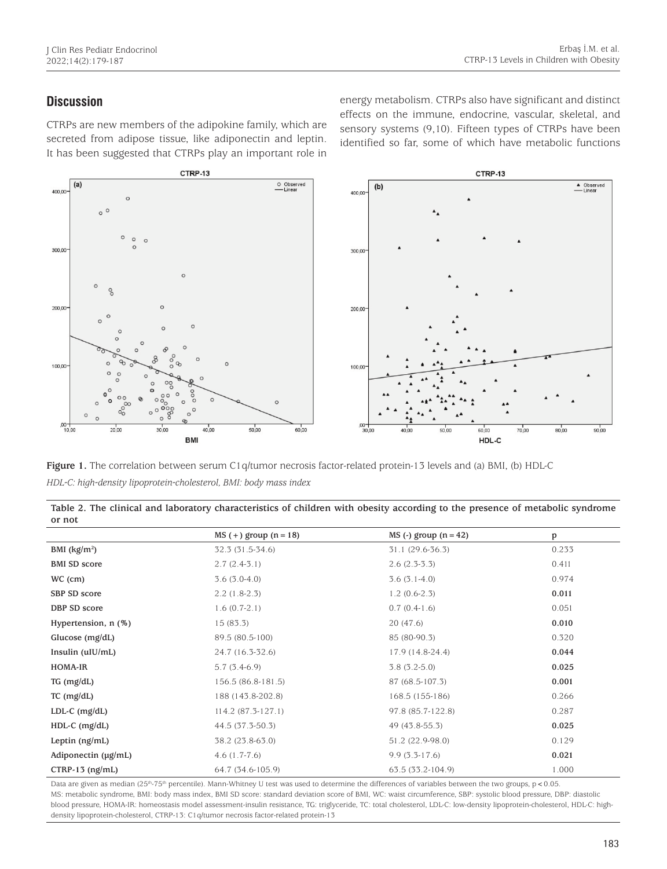## **Discussion**

CTRPs are new members of the adipokine family, which are secreted from adipose tissue, like adiponectin and leptin. It has been suggested that CTRPs play an important role in

energy metabolism. CTRPs also have significant and distinct effects on the immune, endocrine, vascular, skeletal, and sensory systems (9,10). Fifteen types of CTRPs have been identified so far, some of which have metabolic functions



**Figure 1.** The correlation between serum C1q/tumor necrosis factor-related protein-13 levels and (a) BMI, (b) HDL-C *HDL-C: high-density lipoprotein-cholesterol, BMI: body mass index*

| Table 2. The clinical and laboratory characteristics of children with obesity according to the presence of metabolic syndrome |  |
|-------------------------------------------------------------------------------------------------------------------------------|--|
| or not                                                                                                                        |  |

|                          | $MS (+)$ group $(n = 18)$ | $MS$ (-) group $(n = 42)$ | p     |
|--------------------------|---------------------------|---------------------------|-------|
| BMI $(kg/m2)$            | 32.3 (31.5-34.6)          | $31.1(29.6-36.3)$         | 0.233 |
| <b>BMI SD score</b>      | $2.7(2.4-3.1)$            | $2.6(2.3-3.3)$            | 0.411 |
| WC (cm)                  | $3.6(3.0-4.0)$            | $3.6(3.1-4.0)$            | 0.974 |
| SBP SD score             | $2.2(1.8-2.3)$            | $1.2(0.6-2.3)$            | 0.011 |
| DBP SD score             | $1.6(0.7-2.1)$            | $0.7(0.4-1.6)$            | 0.051 |
| Hypertension, n (%)      | 15(83.3)                  | 20(47.6)                  | 0.010 |
| Glucose $(mg/dL)$        | 89.5 (80.5-100)           | 85 (80-90.3)              | 0.320 |
| Insulin $(uIU/mL)$       | 24.7 (16.3-32.6)          | 17.9 (14.8-24.4)          | 0.044 |
| HOMA-IR                  | $5.7(3.4-6.9)$            | $3.8(3.2-5.0)$            | 0.025 |
| $TG$ (mg/dL)             | 156.5 (86.8-181.5)        | 87 (68.5-107.3)           | 0.001 |
| $TC$ (mg/dL)             | 188 (143.8-202.8)         | 168.5 (155-186)           | 0.266 |
| $LDL-C$ (mg/dL)          | $114.2(87.3-127.1)$       | 97.8 (85.7-122.8)         | 0.287 |
| $HDL-C$ (mg/dL)          | 44.5 (37.3-50.3)          | 49 (43.8-55.3)            | 0.025 |
| Leptin $(ng/mL)$         | 38.2 (23.8-63.0)          | 51.2 (22.9-98.0)          | 0.129 |
| Adiponectin $(\mu g/mL)$ | $4.6(1.7-7.6)$            | $9.9(3.3-17.6)$           | 0.021 |
| $CTRP-13$ (ng/mL)        | 64.7 (34.6-105.9)         | 63.5 (33.2-104.9)         | 1.000 |

Data are given as median (25<sup>th</sup>-75<sup>th</sup> percentile). Mann-Whitney U test was used to determine the differences of variables between the two groups, p < 0.05. MS: metabolic syndrome, BMI: body mass index, BMI SD score: standard deviation score of BMI, WC: waist circumference, SBP: systolic blood pressure, DBP: diastolic blood pressure, HOMA-IR: homeostasis model assessment-insulin resistance, TG: triglyceride, TC: total cholesterol, LDL-C: low-density lipoprotein-cholesterol, HDL-C: highdensity lipoprotein-cholesterol, CTRP-13: C1q/tumor necrosis factor-related protein-13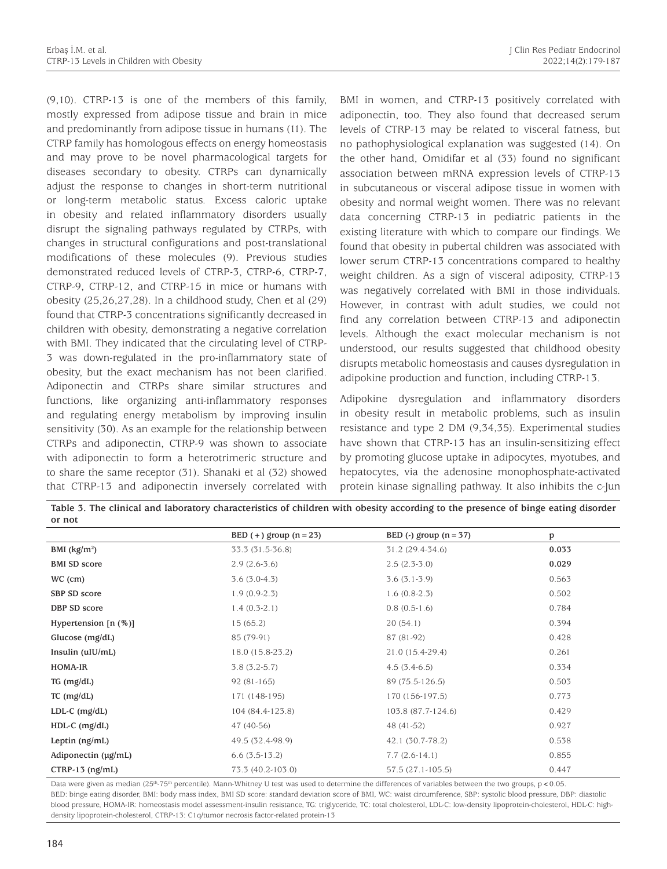(9,10). CTRP-13 is one of the members of this family, mostly expressed from adipose tissue and brain in mice and predominantly from adipose tissue in humans (11). The CTRP family has homologous effects on energy homeostasis and may prove to be novel pharmacological targets for diseases secondary to obesity. CTRPs can dynamically adjust the response to changes in short-term nutritional or long-term metabolic status. Excess caloric uptake in obesity and related inflammatory disorders usually disrupt the signaling pathways regulated by CTRPs, with changes in structural configurations and post-translational modifications of these molecules (9). Previous studies demonstrated reduced levels of CTRP-3, CTRP-6, CTRP-7, CTRP-9, CTRP-12, and CTRP-15 in mice or humans with obesity (25,26,27,28). In a childhood study, Chen et al (29) found that CTRP-3 concentrations significantly decreased in children with obesity, demonstrating a negative correlation with BMI. They indicated that the circulating level of CTRP-3 was down-regulated in the pro-inflammatory state of obesity, but the exact mechanism has not been clarified. Adiponectin and CTRPs share similar structures and functions, like organizing anti-inflammatory responses and regulating energy metabolism by improving insulin sensitivity (30). As an example for the relationship between CTRPs and adiponectin, CTRP-9 was shown to associate with adiponectin to form a heterotrimeric structure and to share the same receptor (31). Shanaki et al (32) showed that CTRP-13 and adiponectin inversely correlated with

BMI in women, and CTRP-13 positively correlated with adiponectin, too. They also found that decreased serum levels of CTRP-13 may be related to visceral fatness, but no pathophysiological explanation was suggested (14). On the other hand, Omidifar et al (33) found no significant association between mRNA expression levels of CTRP-13 in subcutaneous or visceral adipose tissue in women with obesity and normal weight women. There was no relevant data concerning CTRP-13 in pediatric patients in the existing literature with which to compare our findings. We found that obesity in pubertal children was associated with lower serum CTRP-13 concentrations compared to healthy weight children. As a sign of visceral adiposity, CTRP-13 was negatively correlated with BMI in those individuals. However, in contrast with adult studies, we could not find any correlation between CTRP-13 and adiponectin levels. Although the exact molecular mechanism is not understood, our results suggested that childhood obesity disrupts metabolic homeostasis and causes dysregulation in adipokine production and function, including CTRP-13.

Adipokine dysregulation and inflammatory disorders in obesity result in metabolic problems, such as insulin resistance and type 2 DM (9,34,35). Experimental studies have shown that CTRP-13 has an insulin-sensitizing effect by promoting glucose uptake in adipocytes, myotubes, and hepatocytes, via the adenosine monophosphate-activated protein kinase signalling pathway. It also inhibits the c-Jun

|                        | BED $(+)$ group $(n = 23)$ | BED $(-)$ group $(n = 37)$ | p     |
|------------------------|----------------------------|----------------------------|-------|
| BMI $(kg/m2)$          | 33.3 (31.5-36.8)           | 31.2 (29.4-34.6)           | 0.033 |
| <b>BMI SD score</b>    | $2.9(2.6-3.6)$             | $2.5(2.3-3.0)$             | 0.029 |
| WC (cm)                | $3.6(3.0-4.3)$             | $3.6(3.1-3.9)$             | 0.563 |
| SBP SD score           | $1.9(0.9-2.3)$             | $1.6(0.8-2.3)$             | 0.502 |
| DBP SD score           | $1.4(0.3-2.1)$             | $0.8(0.5-1.6)$             | 0.784 |
| Hypertension $[n (%)]$ | 15(65.2)                   | 20(54.1)                   | 0.394 |
| Glucose $(mg/dL)$      | 85 (79-91)                 | 87 (81-92)                 | 0.428 |
| Insulin (uIU/mL)       | 18.0 (15.8-23.2)           | $21.0(15.4-29.4)$          | 0.261 |
| HOMA-IR                | $3.8(3.2-5.7)$             | $4.5(3.4-6.5)$             | 0.334 |
| $TG$ (mg/dL)           | $92(81-165)$               | 89 (75.5-126.5)            | 0.503 |
| $TC$ (mg/dL)           | 171 (148-195)              | 170 (156-197.5)            | 0.773 |
| $LDL-C$ (mg/dL)        | 104 (84.4-123.8)           | 103.8 (87.7-124.6)         | 0.429 |
| $HDL-C$ (mg/dL)        | 47 (40-56)                 | 48 (41-52)                 | 0.927 |
| Leptin (ng/mL)         | 49.5 (32.4-98.9)           | 42.1 (30.7-78.2)           | 0.538 |
| Adiponectin (µg/mL)    | $6.6(3.5-13.2)$            | $7.7(2.6-14.1)$            | 0.855 |
| $CTRP-13$ (ng/mL)      | 73.3 (40.2-103.0)          | $57.5(27.1-105.5)$         | 0.447 |

**Table 3. The clinical and laboratory characteristics of children with obesity according to the presence of binge eating disorder or not**

Data were given as median (25<sup>th</sup>-75<sup>th</sup> percentile). Mann-Whitney U test was used to determine the differences of variables between the two groups, p<0.05. BED: binge eating disorder, BMI: body mass index, BMI SD score: standard deviation score of BMI, WC: waist circumference, SBP: systolic blood pressure, DBP: diastolic blood pressure, HOMA-IR: homeostasis model assessment-insulin resistance, TG: triglyceride, TC: total cholesterol, LDL-C: low-density lipoprotein-cholesterol, HDL-C: highdensity lipoprotein-cholesterol, CTRP-13: C1q/tumor necrosis factor-related protein-13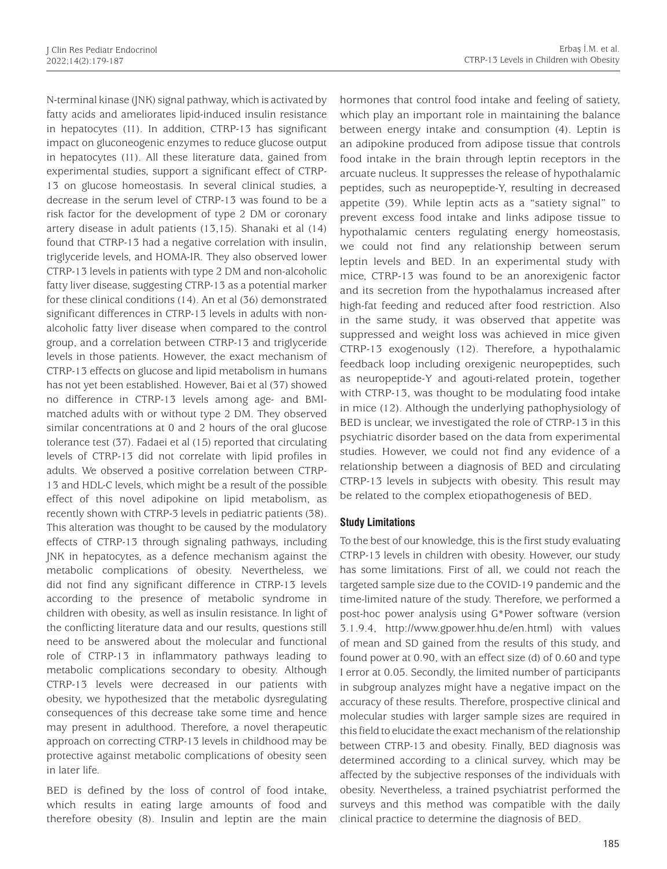N-terminal kinase (JNK) signal pathway, which is activated by fatty acids and ameliorates lipid-induced insulin resistance in hepatocytes (11). In addition, CTRP-13 has significant impact on gluconeogenic enzymes to reduce glucose output in hepatocytes (11). All these literature data, gained from experimental studies, support a significant effect of CTRP-13 on glucose homeostasis. In several clinical studies, a decrease in the serum level of CTRP-13 was found to be a risk factor for the development of type 2 DM or coronary artery disease in adult patients (13,15). Shanaki et al (14) found that CTRP-13 had a negative correlation with insulin, triglyceride levels, and HOMA-IR. They also observed lower CTRP-13 levels in patients with type 2 DM and non-alcoholic fatty liver disease, suggesting CTRP-13 as a potential marker for these clinical conditions (14). An et al (36) demonstrated significant differences in CTRP-13 levels in adults with nonalcoholic fatty liver disease when compared to the control group, and a correlation between CTRP-13 and triglyceride levels in those patients. However, the exact mechanism of CTRP-13 effects on glucose and lipid metabolism in humans has not yet been established. However, Bai et al (37) showed no difference in CTRP-13 levels among age- and BMImatched adults with or without type 2 DM. They observed similar concentrations at 0 and 2 hours of the oral glucose tolerance test (37). Fadaei et al (15) reported that circulating levels of CTRP-13 did not correlate with lipid profiles in adults. We observed a positive correlation between CTRP-13 and HDL-C levels, which might be a result of the possible effect of this novel adipokine on lipid metabolism, as recently shown with CTRP-3 levels in pediatric patients (38). This alteration was thought to be caused by the modulatory effects of CTRP-13 through signaling pathways, including JNK in hepatocytes, as a defence mechanism against the metabolic complications of obesity. Nevertheless, we did not find any significant difference in CTRP-13 levels according to the presence of metabolic syndrome in children with obesity, as well as insulin resistance. In light of the conflicting literature data and our results, questions still need to be answered about the molecular and functional role of CTRP-13 in inflammatory pathways leading to metabolic complications secondary to obesity. Although CTRP-13 levels were decreased in our patients with obesity, we hypothesized that the metabolic dysregulating consequences of this decrease take some time and hence may present in adulthood. Therefore, a novel therapeutic approach on correcting CTRP-13 levels in childhood may be protective against metabolic complications of obesity seen in later life.

BED is defined by the loss of control of food intake, which results in eating large amounts of food and therefore obesity (8). Insulin and leptin are the main hormones that control food intake and feeling of satiety, which play an important role in maintaining the balance between energy intake and consumption (4). Leptin is an adipokine produced from adipose tissue that controls food intake in the brain through leptin receptors in the arcuate nucleus. It suppresses the release of hypothalamic peptides, such as neuropeptide-Y, resulting in decreased appetite (39). While leptin acts as a "satiety signal" to prevent excess food intake and links adipose tissue to hypothalamic centers regulating energy homeostasis, we could not find any relationship between serum leptin levels and BED. In an experimental study with mice, CTRP-13 was found to be an anorexigenic factor and its secretion from the hypothalamus increased after high-fat feeding and reduced after food restriction. Also in the same study, it was observed that appetite was suppressed and weight loss was achieved in mice given CTRP-13 exogenously (12). Therefore, a hypothalamic feedback loop including orexigenic neuropeptides, such as neuropeptide-Y and agouti-related protein, together with CTRP-13, was thought to be modulating food intake in mice (12). Although the underlying pathophysiology of BED is unclear, we investigated the role of CTRP-13 in this psychiatric disorder based on the data from experimental studies. However, we could not find any evidence of a relationship between a diagnosis of BED and circulating CTRP-13 levels in subjects with obesity. This result may be related to the complex etiopathogenesis of BED.

#### **Study Limitations**

To the best of our knowledge, this is the first study evaluating CTRP-13 levels in children with obesity. However, our study has some limitations. First of all, we could not reach the targeted sample size due to the COVID-19 pandemic and the time-limited nature of the study. Therefore, we performed a post-hoc power analysis using G\*Power software (version 3.1.9.4, http://www.gpower.hhu.de/en.html) with values of mean and SD gained from the results of this study, and found power at 0.90, with an effect size (d) of 0.60 and type I error at 0.05. Secondly, the limited number of participants in subgroup analyzes might have a negative impact on the accuracy of these results. Therefore, prospective clinical and molecular studies with larger sample sizes are required in this field to elucidate the exact mechanism of the relationship between CTRP-13 and obesity. Finally, BED diagnosis was determined according to a clinical survey, which may be affected by the subjective responses of the individuals with obesity. Nevertheless, a trained psychiatrist performed the surveys and this method was compatible with the daily clinical practice to determine the diagnosis of BED.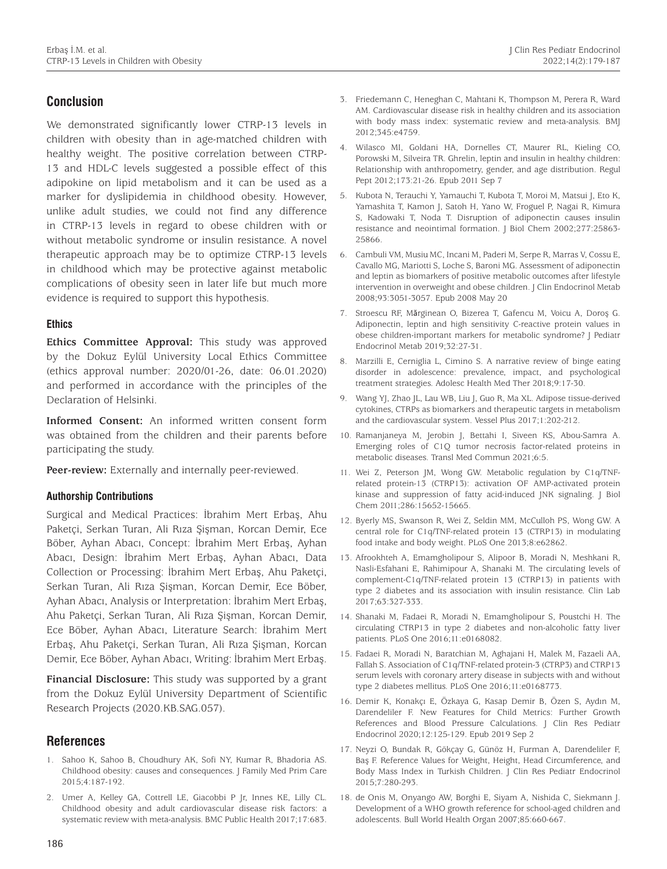# **Conclusion**

We demonstrated significantly lower CTRP-13 levels in children with obesity than in age-matched children with healthy weight. The positive correlation between CTRP-13 and HDL-C levels suggested a possible effect of this adipokine on lipid metabolism and it can be used as a marker for dyslipidemia in childhood obesity. However, unlike adult studies, we could not find any difference in CTRP-13 levels in regard to obese children with or without metabolic syndrome or insulin resistance. A novel therapeutic approach may be to optimize CTRP-13 levels in childhood which may be protective against metabolic complications of obesity seen in later life but much more evidence is required to support this hypothesis.

#### **Ethics**

**Ethics Committee Approval:** This study was approved by the Dokuz Eylül University Local Ethics Committee (ethics approval number: 2020/01-26, date: 06.01.2020) and performed in accordance with the principles of the Declaration of Helsinki.

**Informed Consent:** An informed written consent form was obtained from the children and their parents before participating the study.

Peer-review: Externally and internally peer-reviewed.

#### **Authorship Contributions**

Surgical and Medical Practices: İbrahim Mert Erbaş, Ahu Paketçi, Serkan Turan, Ali Rıza Şişman, Korcan Demir, Ece Böber, Ayhan Abacı, Concept: İbrahim Mert Erbaş, Ayhan Abacı, Design: İbrahim Mert Erbaş, Ayhan Abacı, Data Collection or Processing: İbrahim Mert Erbaş, Ahu Paketçi, Serkan Turan, Ali Rıza Şişman, Korcan Demir, Ece Böber, Ayhan Abacı, Analysis or Interpretation: İbrahim Mert Erbaş, Ahu Paketçi, Serkan Turan, Ali Rıza Şişman, Korcan Demir, Ece Böber, Ayhan Abacı, Literature Search: İbrahim Mert Erbaş, Ahu Paketçi, Serkan Turan, Ali Rıza Şişman, Korcan Demir, Ece Böber, Ayhan Abacı, Writing: İbrahim Mert Erbaş.

**Financial Disclosure:** This study was supported by a grant from the Dokuz Eylül University Department of Scientific Research Projects (2020.KB.SAG.057).

## **References**

- 1. Sahoo K, Sahoo B, Choudhury AK, Sofi NY, Kumar R, Bhadoria AS. Childhood obesity: causes and consequences. J Family Med Prim Care 2015;4:187-192.
- 2. Umer A, Kelley GA, Cottrell LE, Giacobbi P Jr, Innes KE, Lilly CL. Childhood obesity and adult cardiovascular disease risk factors: a systematic review with meta-analysis. BMC Public Health 2017;17:683.
- 3. Friedemann C, Heneghan C, Mahtani K, Thompson M, Perera R, Ward AM. Cardiovascular disease risk in healthy children and its association with body mass index: systematic review and meta-analysis. BMJ 2012;345:e4759.
- 4. Wilasco MI, Goldani HA, Dornelles CT, Maurer RL, Kieling CO, Porowski M, Silveira TR. Ghrelin, leptin and insulin in healthy children: Relationship with anthropometry, gender, and age distribution. Regul Pept 2012;173:21-26. Epub 2011 Sep 7
- 5. Kubota N, Terauchi Y, Yamauchi T, Kubota T, Moroi M, Matsui J, Eto K, Yamashita T, Kamon J, Satoh H, Yano W, Froguel P, Nagai R, Kimura S, Kadowaki T, Noda T. Disruption of adiponectin causes insulin resistance and neointimal formation. J Biol Chem 2002;277:25863- 25866.
- 6. Cambuli VM, Musiu MC, Incani M, Paderi M, Serpe R, Marras V, Cossu E, Cavallo MG, Mariotti S, Loche S, Baroni MG. Assessment of adiponectin and leptin as biomarkers of positive metabolic outcomes after lifestyle intervention in overweight and obese children. J Clin Endocrinol Metab 2008;93:3051-3057. Epub 2008 May 20
- 7. Stroescu RF, Mărginean O, Bizerea T, Gafencu M, Voicu A, Doroş G. Adiponectin, leptin and high sensitivity C-reactive protein values in obese children-important markers for metabolic syndrome? J Pediatr Endocrinol Metab 2019;32:27-31.
- 8. Marzilli E, Cerniglia L, Cimino S. A narrative review of binge eating disorder in adolescence: prevalence, impact, and psychological treatment strategies. Adolesc Health Med Ther 2018;9:17-30.
- 9. Wang YJ, Zhao JL, Lau WB, Liu J, Guo R, Ma XL. Adipose tissue-derived cytokines, CTRPs as biomarkers and therapeutic targets in metabolism and the cardiovascular system. Vessel Plus 2017;1:202-212.
- 10. Ramanjaneya M, Jerobin J, Bettahi I, Siveen KS, Abou-Samra A. Emerging roles of C1Q tumor necrosis factor-related proteins in metabolic diseases. Transl Med Commun 2021;6:5.
- 11. Wei Z, Peterson JM, Wong GW. Metabolic regulation by C1q/TNFrelated protein-13 (CTRP13): activation OF AMP-activated protein kinase and suppression of fatty acid-induced JNK signaling. J Biol Chem 2011;286:15652-15665.
- 12. Byerly MS, Swanson R, Wei Z, Seldin MM, McCulloh PS, Wong GW. A central role for C1q/TNF-related protein 13 (CTRP13) in modulating food intake and body weight. PLoS One 2013;8:e62862.
- 13. Afrookhteh A, Emamgholipour S, Alipoor B, Moradi N, Meshkani R, Nasli-Esfahani E, Rahimipour A, Shanaki M. The circulating levels of complement-C1q/TNF-related protein 13 (CTRP13) in patients with type 2 diabetes and its association with insulin resistance. Clin Lab 2017;63:327-333.
- 14. Shanaki M, Fadaei R, Moradi N, Emamgholipour S, Poustchi H. The circulating CTRP13 in type 2 diabetes and non-alcoholic fatty liver patients. PLoS One 2016;11:e0168082.
- 15. Fadaei R, Moradi N, Baratchian M, Aghajani H, Malek M, Fazaeli AA, Fallah S. Association of C1q/TNF-related protein-3 (CTRP3) and CTRP13 serum levels with coronary artery disease in subjects with and without type 2 diabetes mellitus. PLoS One 2016;11:e0168773.
- 16. Demir K, Konakçı E, Özkaya G, Kasap Demir B, Özen S, Aydın M, Darendeliler F. New Features for Child Metrics: Further Growth References and Blood Pressure Calculations. J Clin Res Pediatr Endocrinol 2020;12:125-129. Epub 2019 Sep 2
- 17. Neyzi O, Bundak R, Gökçay G, Günöz H, Furman A, Darendeliler F, Baş F. Reference Values for Weight, Height, Head Circumference, and Body Mass Index in Turkish Children. J Clin Res Pediatr Endocrinol 2015;7:280-293.
- 18. de Onis M, Onyango AW, Borghi E, Siyam A, Nishida C, Siekmann J. Development of a WHO growth reference for school-aged children and adolescents. Bull World Health Organ 2007;85:660‐667.